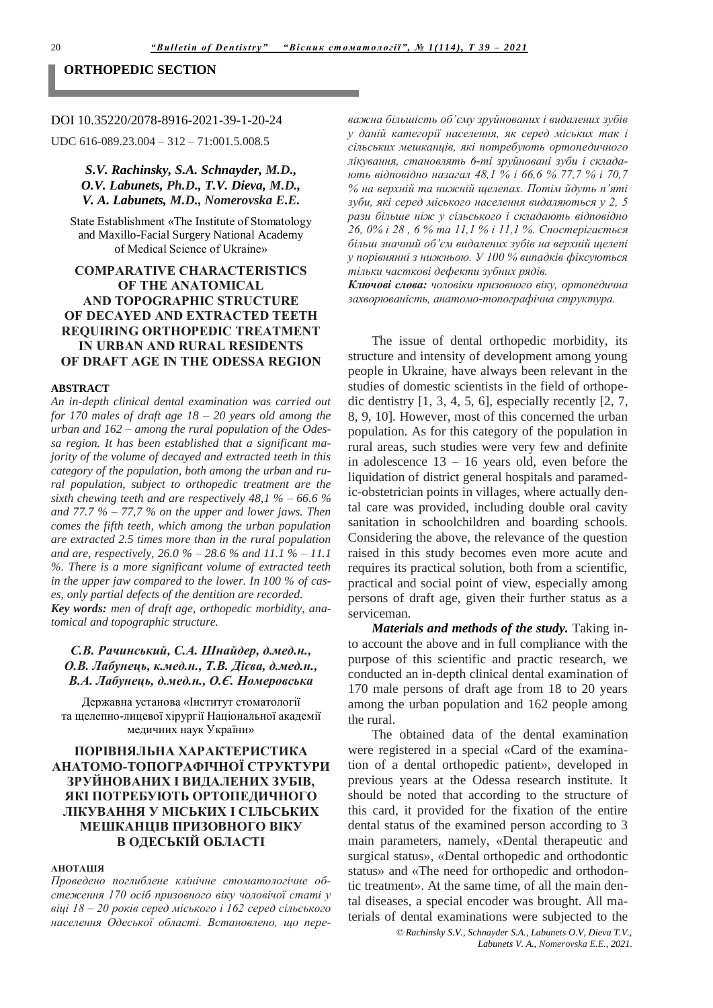#### **ORTHOPEDIC SECTION**

### DOI 10.35220/2078-8916-2021-39-1-20-24

UDC 616-089.23.004 - 312 - 71:001.5.008.5

## S.V. Rachinsky, S.A. Schnayder, M.D., O.V. Labunets, Ph.D., T.V. Dieva, M.D., V. A. Labunets, M.D., Nomerovska E.E.

State Establishment «The Institute of Stomatology and Maxillo-Facial Surgery National Academy of Medical Science of Ukraine»

# **COMPARATIVE CHARACTERISTICS** OF THE ANATOMICAL **AND TOPOGRAPHIC STRUCTURE** OF DECAYED AND EXTRACTED TEETH **REQUIRING ORTHOPEDIC TREATMENT IN URBAN AND RURAL RESIDENTS** OF DRAFT AGE IN THE ODESSA REGION

## **ABSTRACT**

An in-depth clinical dental examination was carried out for 170 males of draft age  $18 - 20$  years old among the urban and  $162$  – among the rural population of the Odessa region. It has been established that a significant majority of the volume of decayed and extracted teeth in this category of the population, both among the urban and rural population, subject to orthopedic treatment are the sixth chewing teeth and are respectively  $48.1\% - 66.6\%$ and 77.7  $\%$  – 77,7  $\%$  on the upper and lower jaws. Then comes the fifth teeth, which among the urban population are extracted 2.5 times more than in the rural population and are, respectively,  $26.0 \% - 28.6 \%$  and  $11.1 \% - 11.1$ %. There is a more significant volume of extracted teeth in the upper jaw compared to the lower. In 100  $\%$  of cases, only partial defects of the dentition are recorded. Key words: men of draft age, orthopedic morbidity, anatomical and topographic structure.

# С.В. Рачинський, С.А. Шнайдер, д.мед.н., О.В. Лабунець, к.мед.н., Т.В. Дієва, д.мед.н., В.А. Лабунець, д.мед.н., О.Є. Номеровська

Державна установа «Інститут стоматології та щелепно-лицевої хірургії Національної академії медичних наук України»

# ПОРІВНЯЛЬНА ХАРАКТЕРИСТИКА АНАТОМО-ТОПОГРАФІЧНОЇ СТРУКТУРИ ЗРУЙНОВАНИХ І ВИДАЛЕНИХ ЗУБІВ, ЯКІ ПОТРЕБУЮТЬ ОРТОПЕЛИЧНОГО ЛІКУВАННЯ У МІСЬКИХ І СІЛЬСЬКИХ МЕШКАНЦІВ ПРИЗОВНОГО ВІКУ В ОДЕСЬКІЙ ОБЛАСТІ

#### **АНОТАПІЯ**

Проведено поглиблене клінічне стоматологічне обстеження 170 осіб призовного віку чоловічої статі у віці  $18-20$  років серед міського і 162 серед сільського населення Одеської області. Встановлено, що переважна більшість об'єму зруйнованих і видалених зубів у даній категорії населення, як серед міських так і сільських мешканців, які потребують ортопедичного лікування, становлять 6-ті зруйновані зуби і складають відповідно назагал 48,1 % і 66,6 % 77,7 % і 70,7 % на верхній та нижній щелепах. Потім йдуть п'яті зуби, які серед міського населення видаляються у 2, 5 рази більше ніж у сільського і складають відповідно 26, 0% і 28, 6 % та 11,1 % і 11,1 %. Спостерігається більш значний об'єм видалених зубів на верхній щелепі у порівнянні з нижньою. У 100 % випадків фіксуються тільки часткові дефекти зубних рядів.

Ключові слова: чоловіки призовного віку, ортопедична захворюваність, анатомо-топографічна структура.

The issue of dental orthopedic morbidity, its structure and intensity of development among young people in Ukraine, have always been relevant in the studies of domestic scientists in the field of orthopedic dentistry  $[1, 3, 4, 5, 6]$ , especially recently  $[2, 7]$ , 8, 9, 10]. However, most of this concerned the urban population. As for this category of the population in rural areas, such studies were very few and definite in adolescence  $13 - 16$  years old, even before the liquidation of district general hospitals and paramedic-obstetrician points in villages, where actually dental care was provided, including double oral cavity sanitation in schoolchildren and boarding schools. Considering the above, the relevance of the question raised in this study becomes even more acute and requires its practical solution, both from a scientific, practical and social point of view, especially among persons of draft age, given their further status as a serviceman.

Materials and methods of the study. Taking into account the above and in full compliance with the purpose of this scientific and practic research, we conducted an in-depth clinical dental examination of 170 male persons of draft age from 18 to 20 years among the urban population and 162 people among the rural.

The obtained data of the dental examination were registered in a special «Card of the examination of a dental orthopedic patient», developed in previous years at the Odessa research institute. It should be noted that according to the structure of this card, it provided for the fixation of the entire dental status of the examined person according to 3 main parameters, namely, «Dental therapeutic and surgical status», «Dental orthopedic and orthodontic status» and «The need for orthopedic and orthodontic treatment». At the same time, of all the main dental diseases, a special encoder was brought. All materials of dental examinations were subjected to the

> © Rachinsky S.V., Schnayder S.A., Labunets O.V, Dieva T.V., Labunets V. A., Nomerovska E.E., 2021.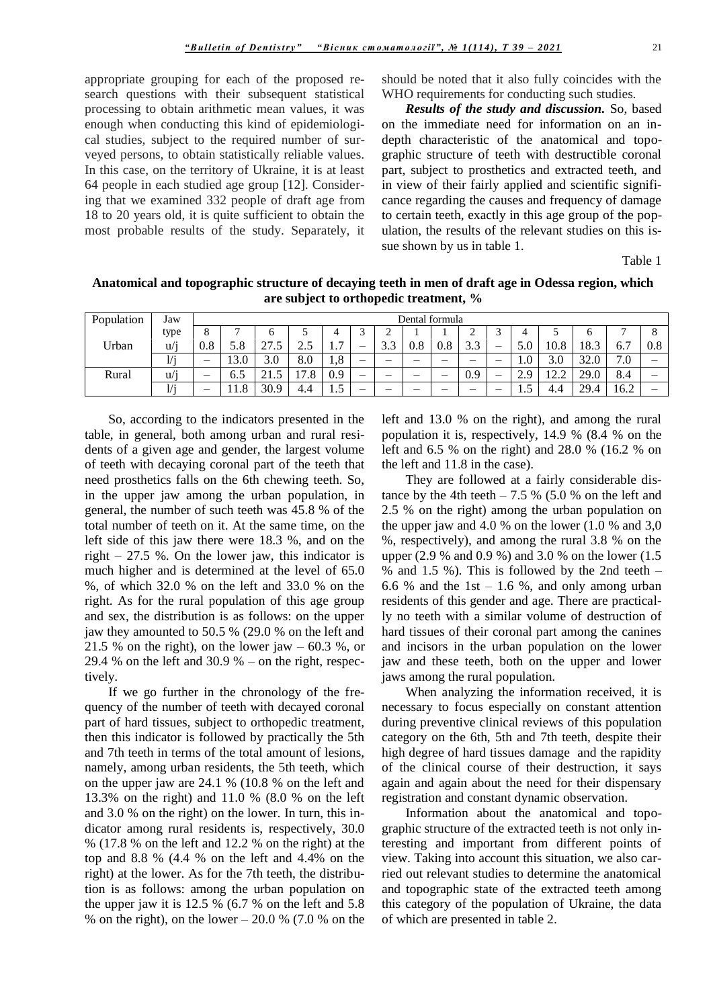appropriate grouping for each of the proposed research questions with their subsequent statistical processing to obtain arithmetic mean values, it was enough when conducting this kind of epidemiological studies, subject to the required number of surveyed persons, to obtain statistically reliable values. In this case, on the territory of Ukraine, it is at least 64 people in each studied age group [12]. Considering that we examined 332 people of draft age from 18 to 20 years old, it is quite sufficient to obtain the most probable results of the study. Separately, it

should be noted that it also fully coincides with the WHO requirements for conducting such studies.

*Results of the study and discussion.* So, based on the immediate need for information on an indepth characteristic of the anatomical and topographic structure of teeth with destructible coronal part, subject to prosthetics and extracted teeth, and in view of their fairly applied and scientific significance regarding the causes and frequency of damage to certain teeth, exactly in this age group of the population, the results of the relevant studies on this issue shown by us in table 1.

Table 1

**Anatomical and topographic structure of decaying teeth in men of draft age in Odessa region, which are subject to orthopedic treatment, %**

| Population | Jaw             |     | Dental formula |      |             |                                                 |                          |               |                          |     |     |   |                 |                          |      |           |     |
|------------|-----------------|-----|----------------|------|-------------|-------------------------------------------------|--------------------------|---------------|--------------------------|-----|-----|---|-----------------|--------------------------|------|-----------|-----|
|            | type            | Õ   | −              | O    | ◡           | 4                                               |                          | ∸             |                          |     | ∠   |   | 4               | $\overline{\phantom{a}}$ |      |           |     |
| Urban      | u/1             | 0.8 | 5.8            | 27.5 | 25<br>ر . ب | $\overline{ }$<br>$\mathbf{1} \cdot \mathbf{1}$ |                          | $\sim$<br>ن.ر | 0.8                      | 0.8 | 3.3 | – | 5.0             | 10.8                     | 18.3 | . .<br>v. | 0.8 |
|            | $-11$           |     | 13.0           | 3.0  | 8.0         | 1,8                                             |                          | —             |                          | –   |     | – | $1.0\,$         | 3.0                      | 32.0 | 7.0<br>−  |     |
| Rural      | $\cdots$<br>u/1 | –   | 6.5            | 21.5 | 7<br>7.8    | 0.9                                             |                          | _             | $\overline{\phantom{a}}$ | —   | 0.9 |   | $\Omega$<br>ム・フ | $\cap$<br>$1 + 1$        | 29.0 | 8.4       |     |
|            | 111             |     | 1.8            | 30.9 | 4.4         | $\tilde{z}$<br>ن. 1                             | $\overline{\phantom{a}}$ | _             |                          | -   | —   |   | ن. 1            | 4.4                      | 29.4 | 16.2      |     |

So, according to the indicators presented in the table, in general, both among urban and rural residents of a given age and gender, the largest volume of teeth with decaying coronal part of the teeth that need prosthetics falls on the 6th chewing teeth. So, in the upper jaw among the urban population, in general, the number of such teeth was 45.8 % of the total number of teeth on it. At the same time, on the left side of this jaw there were 18.3 %, and on the right  $-27.5$  %. On the lower jaw, this indicator is much higher and is determined at the level of 65.0 %, of which 32.0 % on the left and 33.0 % on the right. As for the rural population of this age group and sex, the distribution is as follows: on the upper jaw they amounted to 50.5 % (29.0 % on the left and 21.5 % on the right), on the lower jaw – 60.3 %, or 29.4 % on the left and 30.9 % – on the right, respectively.

If we go further in the chronology of the frequency of the number of teeth with decayed coronal part of hard tissues, subject to orthopedic treatment, then this indicator is followed by practically the 5th and 7th teeth in terms of the total amount of lesions, namely, among urban residents, the 5th teeth, which on the upper jaw are 24.1 % (10.8 % on the left and 13.3% on the right) and 11.0 % (8.0 % on the left and 3.0 % on the right) on the lower. In turn, this indicator among rural residents is, respectively, 30.0 % (17.8 % on the left and 12.2 % on the right) at the top and 8.8 % (4.4 % on the left and 4.4% on the right) at the lower. As for the 7th teeth, the distribution is as follows: among the urban population on the upper jaw it is 12.5 % (6.7 % on the left and 5.8 % on the right), on the lower  $-20.0$  % (7.0 % on the

left and 13.0 % on the right), and among the rural population it is, respectively, 14.9 % (8.4 % on the left and 6.5 % on the right) and 28.0 % (16.2 % on the left and 11.8 in the case).

They are followed at a fairly considerable distance by the 4th teeth  $-7.5\%$  (5.0 % on the left and 2.5 % on the right) among the urban population on the upper jaw and 4.0 % on the lower (1.0 % and 3,0 %, respectively), and among the rural 3.8 % on the upper (2.9 % and 0.9 %) and 3.0 % on the lower (1.5 % and 1.5 %). This is followed by the 2nd teeth  $-$ 6.6 % and the 1st  $-1.6$  %, and only among urban residents of this gender and age. There are practically no teeth with a similar volume of destruction of hard tissues of their coronal part among the canines and incisors in the urban population on the lower jaw and these teeth, both on the upper and lower jaws among the rural population.

When analyzing the information received, it is necessary to focus especially on constant attention during preventive clinical reviews of this population category on the 6th, 5th and 7th teeth, despite their high degree of hard tissues damage and the rapidity of the clinical course of their destruction, it says again and again about the need for their dispensary registration and constant dynamic observation.

Information about the anatomical and topographic structure of the extracted teeth is not only interesting and important from different points of view. Taking into account this situation, we also carried out relevant studies to determine the anatomical and topographic state of the extracted teeth among this category of the population of Ukraine, the data of which are presented in table 2.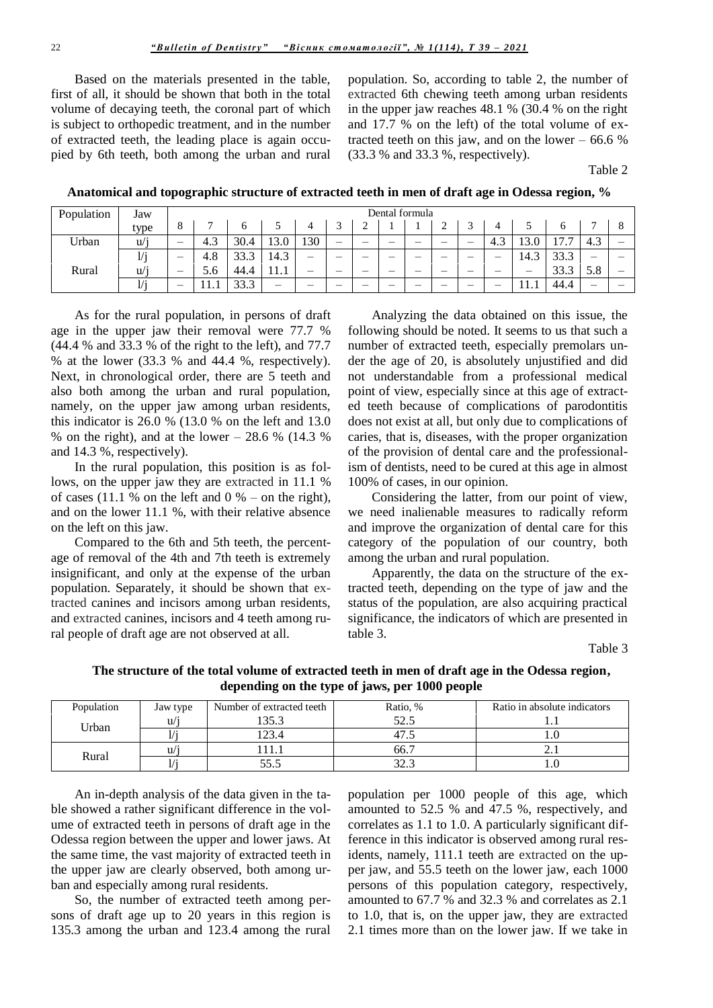Based on the materials presented in the table, first of all, it should be shown that both in the total volume of decaying teeth, the coronal part of which is subject to orthopedic treatment, and in the number of extracted teeth, the leading place is again occupied by 6th teeth, both among the urban and rural

population. So, according to table 2, the number of extracted 6th chewing teeth among urban residents in the upper jaw reaches  $48.1%$  (30.4 % on the right and 17.7 % on the left) of the total volume of extracted teeth on this jaw, and on the lower  $-66.6\%$ (33.3 % and 33.3 %, respectively).

Table 2

Anatomical and topographic structure of extracted teeth in men of draft age in Odessa region, %

| Population | Jaw  |                          | Dental formula |      |      |     |   |   |  |  |   |   |               |      |            |     |  |
|------------|------|--------------------------|----------------|------|------|-----|---|---|--|--|---|---|---------------|------|------------|-----|--|
|            | type | 8                        |                |      |      |     |   |   |  |  | ∸ |   |               |      | O          | -   |  |
| Urban      | u/1  | $\overline{\phantom{0}}$ | 4.3            | 30.4 | 13.0 | 130 | – | – |  |  | – |   | $\sim$<br>4.3 | 3.0  | 17<br>11.1 | 4.3 |  |
|            | 1/i  |                          | 4.8            | 33.3 | 14.3 | –   |   | – |  |  | – | — | –             | 14.3 | 33.3       |     |  |
| Rural      | u/1  | –                        | 5.6            | 44.4 | .    | -   | _ | – |  |  | – |   |               |      | 33.3       | 5.8 |  |
|            | 1/i  | –                        | .              | 33.3 |      | _   | _ | – |  |  | – | _ | --            | 11.1 | 44.4       |     |  |

As for the rural population, in persons of draft age in the upper jaw their removal were 77.7 % (44.4 % and 33.3 % of the right to the left), and 77.7 % at the lower  $(33.3 %$  and  $44.4 %$ , respectively). Next, in chronological order, there are 5 teeth and also both among the urban and rural population, namely, on the upper jaw among urban residents, this indicator is  $26.0\%$  (13.0 % on the left and 13.0 % on the right), and at the lower  $-28.6$  % (14.3 %) and 14.3 %, respectively).

In the rural population, this position is as follows, on the upper jaw they are extracted in 11.1 % of cases (11.1 % on the left and  $0 %$  – on the right), and on the lower 11.1 %, with their relative absence on the left on this jaw.

Compared to the 6th and 5th teeth, the percentage of removal of the 4th and 7th teeth is extremely insignificant, and only at the expense of the urban population. Separately, it should be shown that extracted canines and incisors among urban residents, and extracted canines, incisors and 4 teeth among rural people of draft age are not observed at all.

Analyzing the data obtained on this issue, the following should be noted. It seems to us that such a number of extracted teeth, especially premolars under the age of 20, is absolutely unjustified and did not understandable from a professional medical point of view, especially since at this age of extracted teeth because of complications of parodontitis does not exist at all, but only due to complications of caries, that is, diseases, with the proper organization of the provision of dental care and the professionalism of dentists, need to be cured at this age in almost 100% of cases, in our opinion.

Considering the latter, from our point of view, we need inalienable measures to radically reform and improve the organization of dental care for this category of the population of our country, both among the urban and rural population.

Apparently, the data on the structure of the extracted teeth, depending on the type of jaw and the status of the population, are also acquiring practical significance, the indicators of which are presented in table 3.

Table 3

The structure of the total volume of extracted teeth in men of draft age in the Odessa region, depending on the type of jaws, per 1000 people

| Population | Jaw type     | Number of extracted teeth | Ratio. %        | Ratio in absolute indicators |
|------------|--------------|---------------------------|-----------------|------------------------------|
|            | U/1          | 135.3                     | ະາ ເ<br>ل و کار |                              |
| Urban      |              | 23.4                      |                 | .                            |
|            | $\mathbf{u}$ |                           | 66.7            |                              |
| Rural      |              | 55.S                      |                 |                              |

An in-depth analysis of the data given in the table showed a rather significant difference in the volume of extracted teeth in persons of draft age in the Odessa region between the upper and lower jaws. At the same time, the vast majority of extracted teeth in the upper jaw are clearly observed, both among urban and especially among rural residents.

So, the number of extracted teeth among persons of draft age up to 20 years in this region is 135.3 among the urban and 123.4 among the rural population per 1000 people of this age, which amounted to 52.5 % and 47.5 %, respectively, and correlates as 1.1 to 1.0. A particularly significant difference in this indicator is observed among rural residents, namely, 111.1 teeth are extracted on the upper jaw, and 55.5 teeth on the lower jaw, each 1000 persons of this population category, respectively, amounted to 67.7 % and 32.3 % and correlates as 2.1 to 1.0, that is, on the upper jaw, they are extracted 2.1 times more than on the lower jaw. If we take in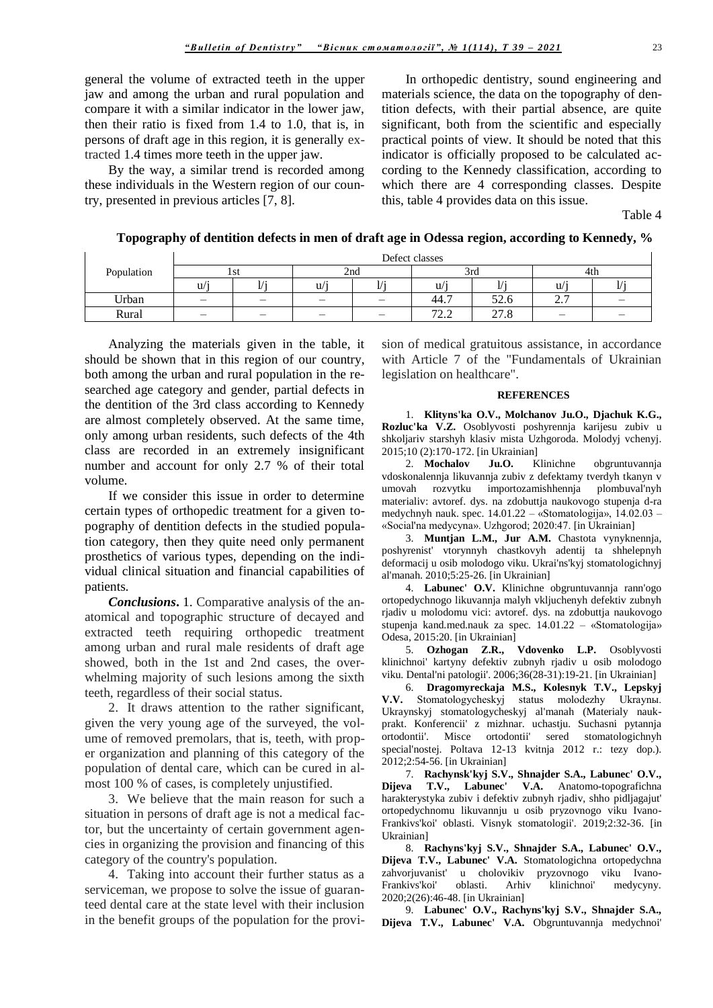general the volume of extracted teeth in the upper jaw and among the urban and rural population and compare it with a similar indicator in the lower jaw, then their ratio is fixed from 1.4 to 1.0, that is, in persons of draft age in this region, it is generally extracted 1.4 times more teeth in the upper jaw.

By the way, a similar trend is recorded among these individuals in the Western region of our country, presented in previous articles [7, 8].

In orthopedic dentistry, sound engineering and materials science, the data on the topography of dentition defects, with their partial absence, are quite significant, both from the scientific and especially practical points of view. It should be noted that this indicator is officially proposed to be calculated according to the Kennedy classification, according to which there are 4 corresponding classes. Despite this, table 4 provides data on this issue.

Table 4

**Topography of dentition defects in men of draft age in Odessa region, according to Kennedy, %**

| Population | Defect classes |          |                          |          |                                   |                |                     |        |  |  |  |
|------------|----------------|----------|--------------------------|----------|-----------------------------------|----------------|---------------------|--------|--|--|--|
|            |                | 1 S U    |                          | 2nd      | 3rd                               |                | 4th                 |        |  |  |  |
|            | $\mathbf{u}$   | $\cdots$ | u                        | $\cdots$ | u/                                | $\cdots$       | u/                  | $\sim$ |  |  |  |
| Urban      | –              |          | $\overline{\phantom{m}}$ | –        | -<br>44.7                         | ⊏∩<br>J∠.∪     | ⌒<br>$\overline{a}$ |        |  |  |  |
| Rural      |                | _        |                          |          | $\overline{\phantom{a}}$<br>ے ، ب | $\sim$<br>21.0 |                     |        |  |  |  |

Analyzing the materials given in the table, it should be shown that in this region of our country, both among the urban and rural population in the researched age category and gender, partial defects in the dentition of the 3rd class according to Kennedy are almost completely observed. At the same time, only among urban residents, such defects of the 4th class are recorded in an extremely insignificant number and account for only 2.7 % of their total volume.

If we consider this issue in order to determine certain types of orthopedic treatment for a given topography of dentition defects in the studied population category, then they quite need only permanent prosthetics of various types, depending on the individual clinical situation and financial capabilities of patients.

*Conclusions***.** 1. Comparative analysis of the anatomical and topographic structure of decayed and extracted teeth requiring orthopedic treatment among urban and rural male residents of draft age showed, both in the 1st and 2nd cases, the overwhelming majority of such lesions among the sixth teeth, regardless of their social status.

2. It draws attention to the rather significant, given the very young age of the surveyed, the volume of removed premolars, that is, teeth, with proper organization and planning of this category of the population of dental care, which can be cured in almost 100 % of cases, is completely unjustified.

3. We believe that the main reason for such a situation in persons of draft age is not a medical factor, but the uncertainty of certain government agencies in organizing the provision and financing of this category of the country's population.

4. Taking into account their further status as a serviceman, we propose to solve the issue of guaranteed dental care at the state level with their inclusion in the benefit groups of the population for the provision of medical gratuitous assistance, in accordance with Article 7 of the "Fundamentals of Ukrainian legislation on healthcare".

## **REFERENCES**

1. **Klityns'ka O.V., Molchanov Ju.O., Djachuk K.G., Rozluc'ka V.Z.** Osoblyvosti poshyrennja karijesu zubiv u shkoljariv starshyh klasiv mista Uzhgoroda. Molodyj vchenyj. 2015;10 (2):170-172. [in Ukrainian]

2. **Mochalov Ju.O.** Klinichne obgruntuvannja vdoskonalennja likuvannja zubiv z defektamy tverdyh tkanyn v umovah rozvytku importozamishhennja plombuval'nyh materialiv: avtoref. dys. na zdobuttja naukovogo stupenja d-ra medychnyh nauk. spec. 14.01.22 – «Stomatologija», 14.02.03 – «Social'na medycyna». Uzhgorod; 2020:47. [in Ukrainian]

3. **Muntjan L.M., Jur A.M.** Chastota vynyknennja, poshyrenist' vtorynnyh chastkovyh adentij ta shhelepnyh deformacij u osib molodogo viku. Ukrai'ns'kyj stomatologichnyj al'manah. 2010;5:25-26. [in Ukrainian]

4. **Labunec' O.V.** Klinichne obgruntuvannja rann'ogo ortopedychnogo likuvannja malyh vkljuchenyh defektiv zubnyh rjadiv u molodomu vici: avtoref. dys. na zdobuttja naukovogo stupenja kand.med.nauk za spec. 14.01.22 – «Stomatologija» Odesa, 2015:20. [in Ukrainian]

5. **Ozhogan Z.R., Vdovenko L.P.** Osoblyvosti klinichnoi' kartyny defektiv zubnyh rjadiv u osib molodogo viku. Dental'ni patologii'. 2006;36(28-31):19-21. [in Ukrainian]

6. **Dragomyreckaja M.S., Kolesnyk T.V., Lepskyj V.V.** Stomatologycheskyj status molodezhy Ukraynы. Ukraynskyj stomatologycheskyj al'manah (Materialy naukprakt. Konferencii' z mizhnar. uchastju. Suchasni pytannja ortodontii'. Misce ortodontii' sered stomatologichnyh special'nostej. Poltava 12-13 kvitnja 2012 r.: tezy dop.). 2012;2:54-56. [in Ukrainian]

7. **Rachynsk'kyj S.V., Shnajder S.A., Labunec' O.V., Dijeva T.V., Labunec' V.A.** Anatomo-topografichna harakterystyka zubiv i defektiv zubnyh rjadiv, shho pidljagajut' ortopedychnomu likuvannju u osib pryzovnogo viku Ivano-Frankivs'koi' oblasti. Visnyk stomatologii'. 2019;2:32-36. [in Ukrainian]

8. **Rachyns'kyj S.V., Shnajder S.A., Labunec' O.V., Dijeva T.V., Labunec' V.A.** Stomatologichna ortopedychna zahvorjuvanist' u cholovikiv pryzovnogo viku Ivano-Frankivs'koi' oblasti. Arhiv klinichnoi' medycyny. 2020;2(26):46-48. [in Ukrainian]

9. **Labunec' O.V., Rachyns'kyj S.V., Shnajder S.A., Dijeva T.V., Labunec' V.A.** Obgruntuvannja medychnoi'